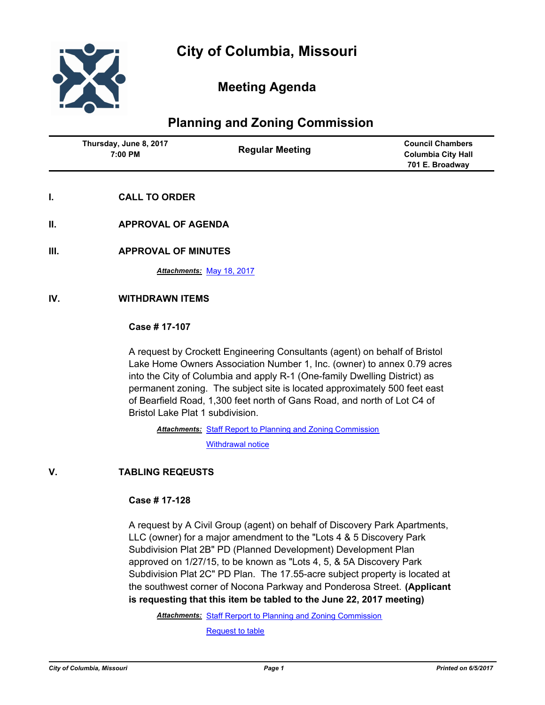

## **Meeting Agenda**

# **Planning and Zoning Commission**

| Thursday, June 8, 2017<br>7:00 PM | <b>Regular Meeting</b> | <b>Council Chambers</b><br><b>Columbia City Hall</b><br>701 E. Broadway |
|-----------------------------------|------------------------|-------------------------------------------------------------------------|
|                                   |                        |                                                                         |

- **I. CALL TO ORDER**
- **II. APPROVAL OF AGENDA**
- **III. APPROVAL OF MINUTES**

*Attachments:* [May 18, 2017](http://gocolumbiamo.legistar.com/gateway.aspx?M=F&ID=4d1ef931-683d-400e-8e7b-7c0b5ca5ecd9.docx)

#### **IV. WITHDRAWN ITEMS**

#### **Case # 17-107**

A request by Crockett Engineering Consultants (agent) on behalf of Bristol Lake Home Owners Association Number 1, Inc. (owner) to annex 0.79 acres into the City of Columbia and apply R-1 (One-family Dwelling District) as permanent zoning. The subject site is located approximately 500 feet east of Bearfield Road, 1,300 feet north of Gans Road, and north of Lot C4 of Bristol Lake Plat 1 subdivision.

Attachments: [Staff Report to Planning and Zoning Commission](http://gocolumbiamo.legistar.com/gateway.aspx?M=F&ID=d85111d6-6ed6-49cc-9372-74902c91793b.pdf) [Withdrawal notice](http://gocolumbiamo.legistar.com/gateway.aspx?M=F&ID=9ddc70f9-bc9f-4cde-a690-6ded7fbf6258.pdf)

### **V. TABLING REQEUSTS**

#### **Case # 17-128**

A request by A Civil Group (agent) on behalf of Discovery Park Apartments, LLC (owner) for a major amendment to the "Lots 4 & 5 Discovery Park Subdivision Plat 2B" PD (Planned Development) Development Plan approved on 1/27/15, to be known as "Lots 4, 5, & 5A Discovery Park Subdivision Plat 2C" PD Plan. The 17.55-acre subject property is located at the southwest corner of Nocona Parkway and Ponderosa Street. **(Applicant is requesting that this item be tabled to the June 22, 2017 meeting)**

Attachments: [Staff Rerport to Planning and Zoning Commission](http://gocolumbiamo.legistar.com/gateway.aspx?M=F&ID=eca7c492-6d55-46b6-afcc-f60f33d682e6.pdf) [Request to table](http://gocolumbiamo.legistar.com/gateway.aspx?M=F&ID=7b79483f-a5f1-4705-9c4f-83c7eb3ab26a.pdf)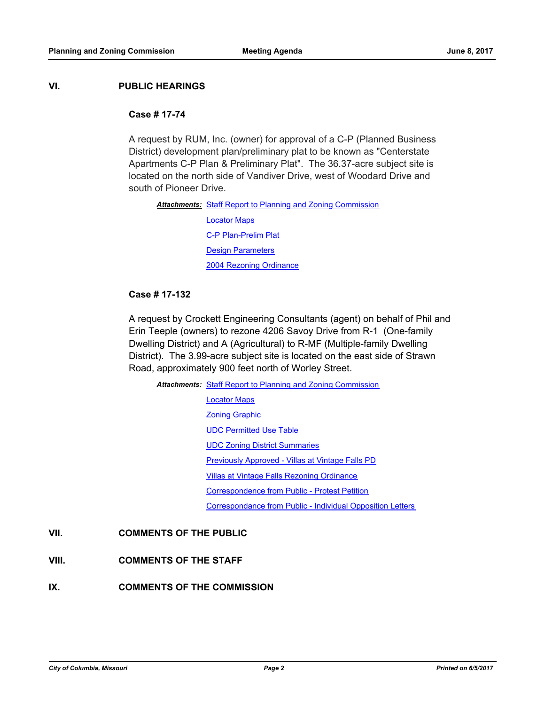#### **VI. PUBLIC HEARINGS**

#### **Case # 17-74**

A request by RUM, Inc. (owner) for approval of a C-P (Planned Business District) development plan/preliminary plat to be known as "Centerstate Apartments C-P Plan & Preliminary Plat". The 36.37-acre subject site is located on the north side of Vandiver Drive, west of Woodard Drive and south of Pioneer Drive.

Attachments: [Staff Report to Planning and Zoning Commission](http://gocolumbiamo.legistar.com/gateway.aspx?M=F&ID=015449b0-0297-46b2-8474-4af782ccdb47.docx)

[Locator Maps](http://gocolumbiamo.legistar.com/gateway.aspx?M=F&ID=e00b742d-3d55-41f0-af1a-20007457fc77.pdf) [C-P Plan-Prelim Plat](http://gocolumbiamo.legistar.com/gateway.aspx?M=F&ID=264ff971-3c09-451c-8c30-0d56d8aaf0ed.pdf) **[Design Parameters](http://gocolumbiamo.legistar.com/gateway.aspx?M=F&ID=c69be963-09ea-4eff-8e85-815958672136.pdf)** [2004 Rezoning Ordinance](http://gocolumbiamo.legistar.com/gateway.aspx?M=F&ID=2ac2bf79-3818-45ed-bd54-3ef0926affee.pdf)

#### **Case # 17-132**

A request by Crockett Engineering Consultants (agent) on behalf of Phil and Erin Teeple (owners) to rezone 4206 Savoy Drive from R-1 (One-family Dwelling District) and A (Agricultural) to R-MF (Multiple-family Dwelling District). The 3.99-acre subject site is located on the east side of Strawn Road, approximately 900 feet north of Worley Street.

Attachments: [Staff Report to Planning and Zoning Commission](http://gocolumbiamo.legistar.com/gateway.aspx?M=F&ID=7e253fa5-69c8-4dc5-8314-64f6dd36d26e.pdf)

[Locator Maps](http://gocolumbiamo.legistar.com/gateway.aspx?M=F&ID=530a92cc-d075-4938-9e52-1edcf306180f.pdf) [Zoning Graphic](http://gocolumbiamo.legistar.com/gateway.aspx?M=F&ID=21cbd63c-6a1a-45a4-9af3-ceb2d327ba77.pdf) [UDC Permitted Use Table](http://gocolumbiamo.legistar.com/gateway.aspx?M=F&ID=c77dbed2-7254-44a2-81d9-56ac7c48236a.pdf) [UDC Zoning District Summaries](http://gocolumbiamo.legistar.com/gateway.aspx?M=F&ID=d1e23b8c-857b-4a75-9d15-472ffd552eca.pdf) [Previously Approved - Villas at Vintage Falls PD](http://gocolumbiamo.legistar.com/gateway.aspx?M=F&ID=f54a0242-7544-45d3-b727-53e5a4616a59.pdf) [Villas at Vintage Falls Rezoning Ordinance](http://gocolumbiamo.legistar.com/gateway.aspx?M=F&ID=201316db-4749-4915-853d-fe8178d22ea6.pdf) [Correspondence from Public - Protest Petition](http://gocolumbiamo.legistar.com/gateway.aspx?M=F&ID=ae95ab79-aebb-426a-8b2f-796ab9c32687.pdf) [Correspondance from Public - Individual Opposition Letters](http://gocolumbiamo.legistar.com/gateway.aspx?M=F&ID=a9be52d9-fefb-4c2d-8853-8bd203d45441.pdf)

### **VII. COMMENTS OF THE PUBLIC**

- **VIII. COMMENTS OF THE STAFF**
- **IX. COMMENTS OF THE COMMISSION**